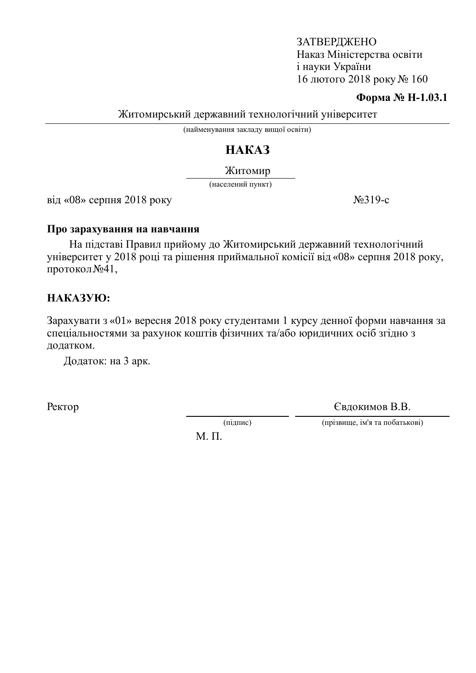ЗАТВЕРДЖЕНО Наказ Міністерства освіти i науки України 16 лютого 2018 року № 160

#### **Форма № Н-1.03.1**

Житомирський державний технологічний університет

(найменування закладу вищої освіти)

# HAKA3

Житомир

(населений пункт)

 $\overline{Bi}$ д «08» серпня 2018 року  $N \geq 319-c$ 

#### Про зарахування на навчання

На підставі Правил прийому до Житомирський державний технологічний університет у 2018 році та рішення приймальної комісії від «08» серпня 2018 року, протокол №41,

### HAKA3YIO:

Зарахувати з «01» вересня 2018 року студентами 1 курсу денної форми навчання за спеціальностями за рахунок коштів фізичних та/або юридичних осіб згідно з додатком.

Додаток: на 3 арк.

Ректор Свдокимов В.В.

(підпис) (прізвище, ім'я та побатькові)

 $M$ .  $\Pi$ .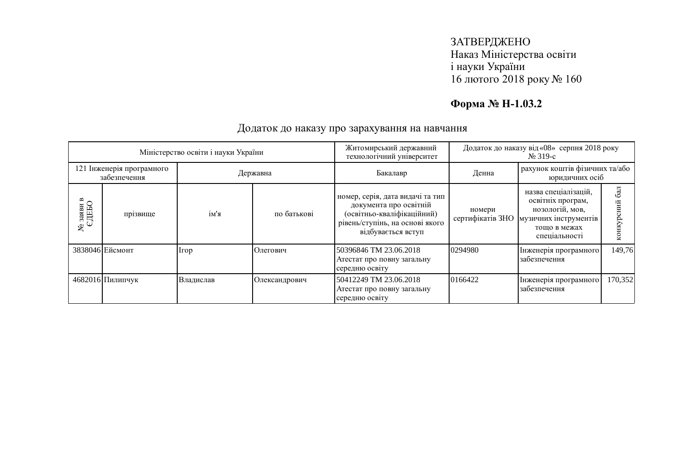## ЗАТВЕРДЖЕНО Наказ Міністерства освіти і науки України  $16$  лютого 2018 року №  $160$

# **Форма № Н-1.03.2**

| Міністерство освіти і науки України       |                  |           |               | Житомирський державний<br>технологічний університет                                                                                               | Додаток до наказу від «08» серпня 2018 року<br>$N_2$ 319-c |                                                                                                                        |                 |
|-------------------------------------------|------------------|-----------|---------------|---------------------------------------------------------------------------------------------------------------------------------------------------|------------------------------------------------------------|------------------------------------------------------------------------------------------------------------------------|-----------------|
| 121 Інженерія програмного<br>забезпечення |                  | Державна  |               | Бакалавр                                                                                                                                          | рахунок коштів фізичних та/або<br>Денна<br>юридичних осіб  |                                                                                                                        |                 |
| © заяви в<br>СДЕБО<br>ຌ                   | прізвище         | ім'я      | по батькові   | номер, серія, дата видачі та тип<br>документа про освітній<br>(освітньо-кваліфікаційний)<br>рівень/ступінь, на основі якого<br>відбувається вступ | номери<br>сертифікатів ЗНО                                 | назва спеціалізацій,<br>освітніх програм,<br>нозологій, мов,<br>музичних інструментів<br>тощо в межах<br>спеціальності | бал<br>нкурсний |
|                                           | 3838046 Ейсмонт  | Irop      | Олегович      | 50396846 TM 23.06.2018<br>Атестат про повну загальну<br>середню освіту                                                                            | 0294980                                                    | Інженерія програмного<br>забезпечення                                                                                  | 149,76          |
|                                           | 4682016 Пилипчук | Владислав | Олександрович | 50412249 TM 23.06.2018<br>Атестат про повну загальну<br>середню освіту                                                                            | 0166422                                                    | Інженерія програмного<br>забезпечення                                                                                  | 170,352         |

### Додаток до наказу про зарахування на навчання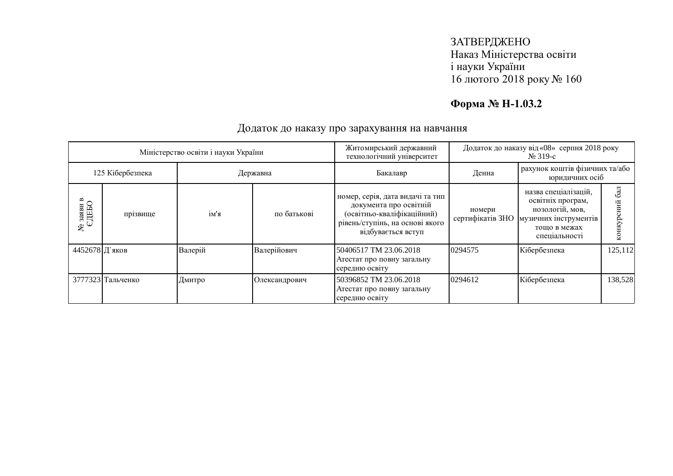## ЗАТВЕРДЖЕНО Наказ Міністерства освіти і науки України  $16$  лютого 2018 року №  $160$

# **Форма № Н-1.03.2**

| Міністерство освіти і науки України |                   |          |               | Житомирський державний<br>технологічний університет                                                                                               | Додаток до наказу від «08» серпня 2018 року<br>$N_2$ 319-c |                                                                                                                        |                  |
|-------------------------------------|-------------------|----------|---------------|---------------------------------------------------------------------------------------------------------------------------------------------------|------------------------------------------------------------|------------------------------------------------------------------------------------------------------------------------|------------------|
| 125 Кібербезпека                    |                   | Державна |               | Бакалавр                                                                                                                                          | рахунок коштів фізичних та/або<br>Денна<br>юридичних осіб  |                                                                                                                        |                  |
| $\frac{N\!e}{{\rm 3aABH}}$ в СДЕБО  | прізвище          | ім'я     | по батькові   | номер, серія, дата видачі та тип<br>документа про освітній<br>(освітньо-кваліфікаційний)<br>рівень/ступінь, на основі якого<br>відбувається вступ | номери<br>сертифікатів ЗНО                                 | назва спеціалізацій,<br>освітніх програм,<br>нозологій, мов,<br>музичних інструментів<br>тощо в межах<br>спеціальності | 6a<br>конкурсний |
| 4452678 Д'яков                      |                   | Валерій  | Валерійович   | 50406517 TM 23.06.2018<br>Атестат про повну загальну<br>середню освіту                                                                            | 0294575                                                    | Кібербезпека                                                                                                           | 125,112          |
|                                     | 3777323 Тальченко | Дмитро   | Олександрович | 50396852 TM 23.06.2018<br>Атестат про повну загальну<br>середню освіту                                                                            | 0294612                                                    | Кібербезпека                                                                                                           | 138,528          |

### Додаток до наказу про зарахування на навчання